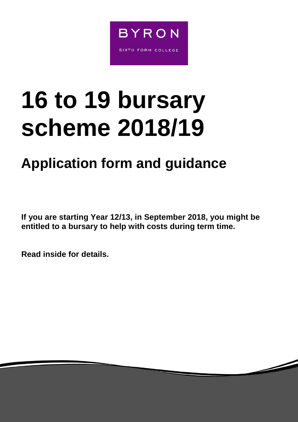

# **16 to 19 bursary scheme 2018/19**

# **Application form and guidance**

**If you are starting Year 12/13, in September 2018, you might be entitled to a bursary to help with costs during term time.**

**Read inside for details.**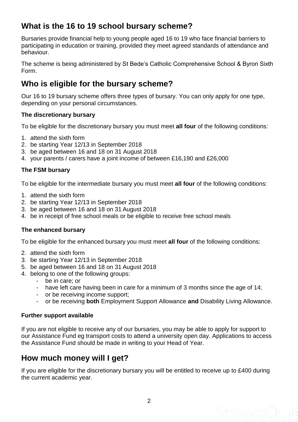## **What is the 16 to 19 school bursary scheme?**

Bursaries provide financial help to young people aged 16 to 19 who face financial barriers to participating in education or training, provided they meet agreed standards of attendance and behaviour.

The scheme is being administered by St Bede's Catholic Comprehensive School & Byron Sixth Form.

#### **Who is eligible for the bursary scheme?**

Our 16 to 19 bursary scheme offers three types of bursary. You can only apply for one type, depending on your personal circumstances.

#### **The discretionary bursary**

To be eligible for the discretionary bursary you must meet **all four** of the following conditions:

- 1. attend the sixth form
- 2. be starting Year 12/13 in September 2018
- 3. be aged between 16 and 18 on 31 August 2018
- 4. your parents / carers have a joint income of between £16,190 and £26,000

#### **The FSM bursary**

To be eligible for the intermediate bursary you must meet **all four** of the following conditions:

- 1. attend the sixth form
- 2. be starting Year 12/13 in September 2018
- 3. be aged between 16 and 18 on 31 August 2018
- 4. be in receipt of free school meals or be eligible to receive free school meals

#### **The enhanced bursary**

To be eligible for the enhanced bursary you must meet **all four** of the following conditions:

- 2. attend the sixth form
- 3. be starting Year 12/13 in September 2018
- 5. be aged between 16 and 18 on 31 August 2018
- 4. belong to one of the following groups:
	- be in care; or
	- have left care having been in care for a minimum of 3 months since the age of 14;
	- or be receiving income support;
	- or be receiving **both** Employment Support Allowance **and** Disability Living Allowance.

#### **Further support available**

If you are not eligible to receive any of our bursaries, you may be able to apply for support to our Assistance Fund eg transport costs to attend a university open day. Applications to access the Assistance Fund should be made in writing to your Head of Year.

#### **How much money will I get?**

If you are eligible for the discretionary bursary you will be entitled to receive up to £400 during the current academic year.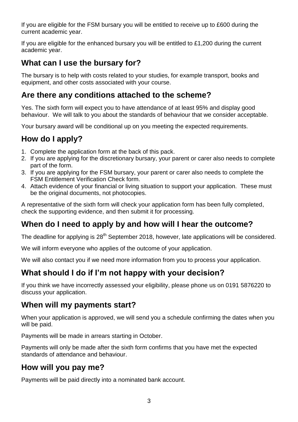If you are eligible for the FSM bursary you will be entitled to receive up to £600 during the current academic year.

If you are eligible for the enhanced bursary you will be entitled to £1,200 during the current academic year.

## **What can I use the bursary for?**

The bursary is to help with costs related to your studies, for example transport, books and equipment, and other costs associated with your course.

#### **Are there any conditions attached to the scheme?**

Yes. The sixth form will expect you to have attendance of at least 95% and display good behaviour. We will talk to you about the standards of behaviour that we consider acceptable.

Your bursary award will be conditional up on you meeting the expected requirements.

# **How do I apply?**

- 1. Complete the application form at the back of this pack.
- 2. If you are applying for the discretionary bursary, your parent or carer also needs to complete part of the form.
- 3. If you are applying for the FSM bursary, your parent or carer also needs to complete the FSM Entitlement Verification Check form.
- 4. Attach evidence of your financial or living situation to support your application. These must be the original documents, not photocopies.

A representative of the sixth form will check your application form has been fully completed, check the supporting evidence, and then submit it for processing.

### **When do I need to apply by and how will I hear the outcome?**

The deadline for applying is 28<sup>th</sup> September 2018, however, late applications will be considered.

We will inform everyone who applies of the outcome of your application.

We will also contact you if we need more information from you to process your application.

#### **What should I do if I'm not happy with your decision?**

If you think we have incorrectly assessed your eligibility, please phone us on 0191 5876220 to discuss your application.

#### **When will my payments start?**

When your application is approved, we will send you a schedule confirming the dates when you will be paid.

Payments will be made in arrears starting in October.

Payments will only be made after the sixth form confirms that you have met the expected standards of attendance and behaviour.

### **How will you pay me?**

Payments will be paid directly into a nominated bank account.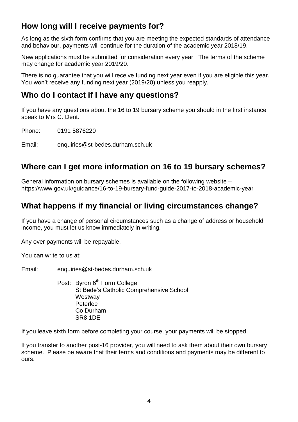# **How long will I receive payments for?**

As long as the sixth form confirms that you are meeting the expected standards of attendance and behaviour, payments will continue for the duration of the academic year 2018/19.

New applications must be submitted for consideration every year. The terms of the scheme may change for academic year 2019/20.

There is no guarantee that you will receive funding next year even if you are eligible this year. You won't receive any funding next year (2019/20) unless you reapply.

#### **Who do I contact if I have any questions?**

If you have any questions about the 16 to 19 bursary scheme you should in the first instance speak to Mrs C. Dent.

Phone: 0191 5876220

Email: enquiries@st-bedes.durham.sch.uk

#### **Where can I get more information on 16 to 19 bursary schemes?**

General information on bursary schemes is available on the following website – https://www.gov.uk/guidance/16-to-19-bursary-fund-guide-2017-to-2018-academic-year

#### **What happens if my financial or living circumstances change?**

If you have a change of personal circumstances such as a change of address or household income, you must let us know immediately in writing.

Any over payments will be repayable.

You can write to us at:

Email: enquiries@st-bedes.durham.sch.uk

Post: Byron 6<sup>th</sup> Form College St Bede's Catholic Comprehensive School **Westway** Peterlee Co Durham SR8 1DE

If you leave sixth form before completing your course, your payments will be stopped.

If you transfer to another post-16 provider, you will need to ask them about their own bursary scheme. Please be aware that their terms and conditions and payments may be different to ours.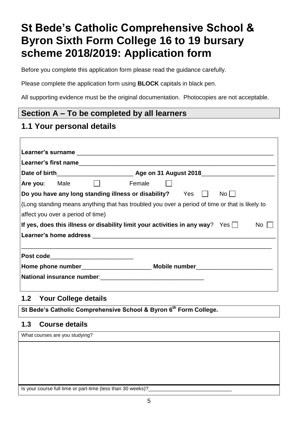# **St Bede's Catholic Comprehensive School & Byron Sixth Form College 16 to 19 bursary scheme 2018/2019: Application form**

Before you complete this application form please read the guidance carefully.

Please complete the application form using **BLOCK** capitals in black pen.

All supporting evidence must be the original documentation. Photocopies are not acceptable.

#### **Section A – To be completed by all learners**

#### **1.1 Your personal details**

| Are you: Male                                                                                  | Female               |  |  |  |  |  |  |
|------------------------------------------------------------------------------------------------|----------------------|--|--|--|--|--|--|
| Do you have any long standing illness or disability? $\qquad$ Yes $\qquad \Box$                | $No$ $\vert$ $\vert$ |  |  |  |  |  |  |
| (Long standing means anything that has troubled you over a period of time or that is likely to |                      |  |  |  |  |  |  |
| affect you over a period of time)                                                              |                      |  |  |  |  |  |  |
| If yes, does this illness or disability limit your activities in any way? Yes $\Box$           | No l                 |  |  |  |  |  |  |
|                                                                                                |                      |  |  |  |  |  |  |
|                                                                                                |                      |  |  |  |  |  |  |
| Post code____________________________                                                          |                      |  |  |  |  |  |  |
| Home phone number <b>Notifiably Mobile number</b>                                              |                      |  |  |  |  |  |  |
| National insurance number:<br>Mational insurance number:<br>Mational insurance number:         |                      |  |  |  |  |  |  |
|                                                                                                |                      |  |  |  |  |  |  |

#### **1.2 Your College details**

**St Bede's Catholic Comprehensive School & Byron 6th Form College.**

#### **1.3 Course details**

What courses are you studying?

Is your course full time or part-time (less than 30 weeks)?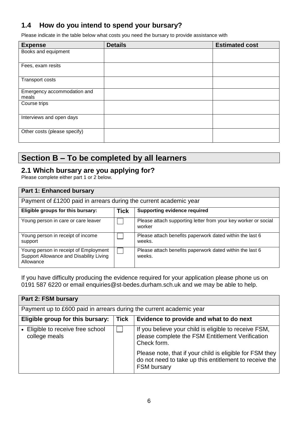#### **1.4 How do you intend to spend your bursary?**

Please indicate in the table below what costs you need the bursary to provide assistance with

| <b>Expense</b>                       | <b>Details</b> | <b>Estimated cost</b> |
|--------------------------------------|----------------|-----------------------|
| Books and equipment                  |                |                       |
| Fees, exam resits                    |                |                       |
| Transport costs                      |                |                       |
| Emergency accommodation and<br>meals |                |                       |
| Course trips                         |                |                       |
| Interviews and open days             |                |                       |
| Other costs (please specify)         |                |                       |

#### **Section B – To be completed by all learners**

#### **2.1 Which bursary are you applying for?**

Please complete either part 1 or 2 below.

| <b>Part 1: Enhanced bursary</b>                                                               |             |                                                                          |  |  |
|-----------------------------------------------------------------------------------------------|-------------|--------------------------------------------------------------------------|--|--|
| Payment of £1200 paid in arrears during the current academic year                             |             |                                                                          |  |  |
| Eligible groups for this bursary:                                                             | <b>Tick</b> | <b>Supporting evidence required</b>                                      |  |  |
| Young person in care or care leaver                                                           |             | Please attach supporting letter from your key worker or social<br>worker |  |  |
| Young person in receipt of income<br>support                                                  |             | Please attach benefits paperwork dated within the last 6<br>weeks.       |  |  |
| Young person in receipt of Employment<br>Support Allowance and Disability Living<br>Allowance |             | Please attach benefits paperwork dated within the last 6<br>weeks.       |  |  |

If you have difficulty producing the evidence required for your application please phone us on 0191 587 6220 or email enquiries@st-bedes.durham.sch.uk and we may be able to help.

| Part 2: FSM bursary                                                 |             |                                                                                                                                          |  |
|---------------------------------------------------------------------|-------------|------------------------------------------------------------------------------------------------------------------------------------------|--|
| Payment up to £600 paid in arrears during the current academic year |             |                                                                                                                                          |  |
| Eligible group for this bursary:                                    | <b>Tick</b> | Evidence to provide and what to do next                                                                                                  |  |
| • Eligible to receive free school<br>college meals                  |             | If you believe your child is eligible to receive FSM,<br>please complete the FSM Entitlement Verification<br>Check form.                 |  |
|                                                                     |             | Please note, that if your child is eligible for FSM they<br>do not need to take up this entitlement to receive the<br><b>FSM bursary</b> |  |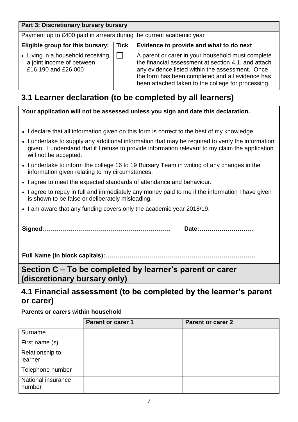| Part 3: Discretionary bursary bursary                                                 |             |                                                                                                                                                                                                                                                                       |
|---------------------------------------------------------------------------------------|-------------|-----------------------------------------------------------------------------------------------------------------------------------------------------------------------------------------------------------------------------------------------------------------------|
| Payment up to £400 paid in arrears during the current academic year                   |             |                                                                                                                                                                                                                                                                       |
| Eligible group for this bursary:                                                      | <b>Tick</b> | Evidence to provide and what to do next                                                                                                                                                                                                                               |
| • Living in a household receiving<br>a joint income of between<br>£16,190 and £26,000 |             | A parent or carer in your household must complete<br>the financial assessment at section 4.1, and attach<br>any evidence listed within the assessment. Once<br>the form has been completed and all evidence has<br>been attached taken to the college for processing. |

# **3.1 Learner declaration (to be completed by all learners)**

|                                                                                          | Your application will not be assessed unless you sign and date this declaration.                                                                                                                      |                          |  |  |  |
|------------------------------------------------------------------------------------------|-------------------------------------------------------------------------------------------------------------------------------------------------------------------------------------------------------|--------------------------|--|--|--|
|                                                                                          | • I declare that all information given on this form is correct to the best of my knowledge.                                                                                                           |                          |  |  |  |
| will not be accepted.                                                                    | • I undertake to supply any additional information that may be required to verify the information<br>given. I understand that if I refuse to provide information relevant to my claim the application |                          |  |  |  |
|                                                                                          | • I undertake to inform the college 16 to 19 Bursary Team in writing of any changes in the<br>information given relating to my circumstances.                                                         |                          |  |  |  |
|                                                                                          | • I agree to meet the expected standards of attendance and behaviour.                                                                                                                                 |                          |  |  |  |
|                                                                                          | • I agree to repay in full and immediately any money paid to me if the information I have given<br>is shown to be false or deliberately misleading.                                                   |                          |  |  |  |
|                                                                                          | • I am aware that any funding covers only the academic year 2018/19.                                                                                                                                  |                          |  |  |  |
|                                                                                          |                                                                                                                                                                                                       | Date:                    |  |  |  |
|                                                                                          |                                                                                                                                                                                                       |                          |  |  |  |
| Section C – To be completed by learner's parent or carer<br>(discretionary bursary only) |                                                                                                                                                                                                       |                          |  |  |  |
| 4.1 Financial assessment (to be completed by the learner's parent<br>or carer)           |                                                                                                                                                                                                       |                          |  |  |  |
| <b>Parents or carers within household</b>                                                |                                                                                                                                                                                                       |                          |  |  |  |
|                                                                                          | <b>Parent or carer 1</b>                                                                                                                                                                              | <b>Parent or carer 2</b> |  |  |  |
| Surname                                                                                  |                                                                                                                                                                                                       |                          |  |  |  |

| Surname                      |  |
|------------------------------|--|
| First name (s)               |  |
| Relationship to              |  |
| learner                      |  |
| Telephone number             |  |
| National insurance<br>number |  |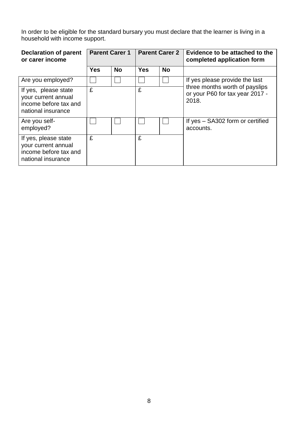In order to be eligible for the standard bursary you must declare that the learner is living in a household with income support.

| <b>Declaration of parent</b><br>or carer income                                            | <b>Parent Carer 1</b> |           | <b>Parent Carer 2</b> |           | Evidence to be attached to the<br>completed application form               |
|--------------------------------------------------------------------------------------------|-----------------------|-----------|-----------------------|-----------|----------------------------------------------------------------------------|
|                                                                                            | <b>Yes</b>            | <b>No</b> | <b>Yes</b>            | <b>No</b> |                                                                            |
| Are you employed?                                                                          |                       |           |                       |           | If yes please provide the last                                             |
| If yes, please state<br>your current annual<br>income before tax and<br>national insurance | £                     |           | £                     |           | three months worth of payslips<br>or your P60 for tax year 2017 -<br>2018. |
| Are you self-<br>employed?                                                                 |                       |           |                       |           | If yes - SA302 form or certified<br>accounts.                              |
| If yes, please state<br>your current annual<br>income before tax and<br>national insurance | £                     |           | £                     |           |                                                                            |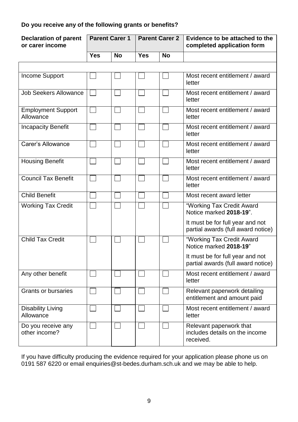#### **Do you receive any of the following grants or benefits?**

| <b>Declaration of parent</b><br>or carer income | <b>Parent Carer 1</b> |           | <b>Parent Carer 2</b> |           |                                                                        | Evidence to be attached to the<br>completed application form |
|-------------------------------------------------|-----------------------|-----------|-----------------------|-----------|------------------------------------------------------------------------|--------------------------------------------------------------|
|                                                 | <b>Yes</b>            | <b>No</b> | <b>Yes</b>            | <b>No</b> |                                                                        |                                                              |
|                                                 |                       |           |                       |           |                                                                        |                                                              |
| <b>Income Support</b>                           |                       |           |                       |           | Most recent entitlement / award<br>letter                              |                                                              |
| <b>Job Seekers Allowance</b>                    |                       |           |                       |           | Most recent entitlement / award<br>letter                              |                                                              |
| <b>Employment Support</b><br>Allowance          |                       |           |                       |           | Most recent entitlement / award<br>letter                              |                                                              |
| <b>Incapacity Benefit</b>                       |                       |           |                       |           | Most recent entitlement / award<br>letter                              |                                                              |
| Carer's Allowance                               |                       |           |                       |           | Most recent entitlement / award<br>letter                              |                                                              |
| <b>Housing Benefit</b>                          |                       |           |                       |           | Most recent entitlement / award<br>letter                              |                                                              |
| <b>Council Tax Benefit</b>                      |                       |           |                       |           | Most recent entitlement / award<br>letter                              |                                                              |
| <b>Child Benefit</b>                            |                       |           |                       |           | Most recent award letter                                               |                                                              |
| <b>Working Tax Credit</b>                       |                       |           |                       |           | "Working Tax Credit Award<br>Notice marked 2018-19".                   |                                                              |
|                                                 |                       |           |                       |           | It must be for full year and not<br>partial awards (full award notice) |                                                              |
| <b>Child Tax Credit</b>                         |                       |           |                       |           | "Working Tax Credit Award<br>Notice marked 2018-19"                    |                                                              |
|                                                 |                       |           |                       |           | It must be for full year and not<br>partial awards (full award notice) |                                                              |
| Any other benefit                               |                       |           |                       |           | Most recent entitlement / award<br>letter                              |                                                              |
| <b>Grants or bursaries</b>                      |                       |           |                       |           | Relevant paperwork detailing<br>entitlement and amount paid            |                                                              |
| <b>Disability Living</b><br>Allowance           |                       |           |                       |           | Most recent entitlement / award<br>letter                              |                                                              |
| Do you receive any<br>other income?             |                       |           |                       |           | Relevant paperwork that<br>includes details on the income<br>received. |                                                              |

If you have difficulty producing the evidence required for your application please phone us on 0191 587 6220 or email enquiries@st-bedes.durham.sch.uk and we may be able to help.